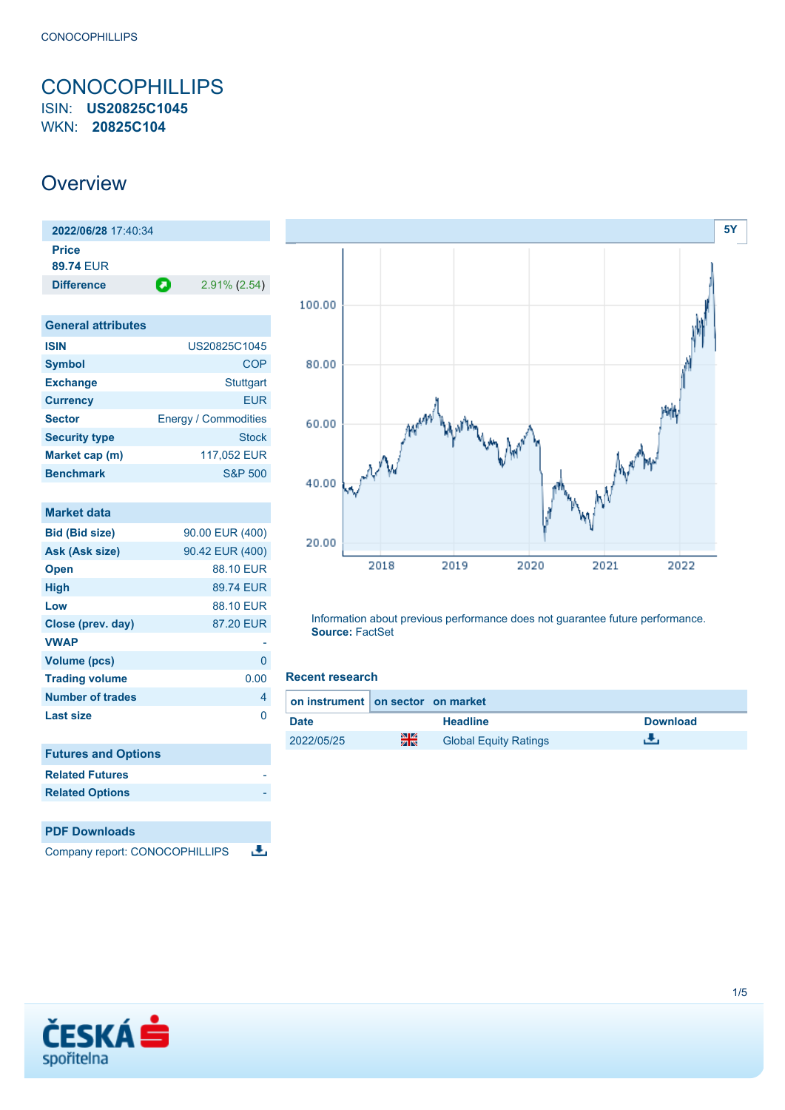# <span id="page-0-0"></span>**CONOCOPHILLIPS** ISIN: **US20825C1045**

WKN: **20825C104**

## **Overview**

| 2022/06/28 17:40:34       |   |                 |
|---------------------------|---|-----------------|
| <b>Price</b><br>89.74 FUR |   |                 |
| <b>Difference</b>         | О | $2.91\%$ (2.54) |

| <b>General attributes</b> |                             |
|---------------------------|-----------------------------|
| <b>ISIN</b>               | US20825C1045                |
| <b>Symbol</b>             | COP                         |
| <b>Exchange</b>           | Stuttgart                   |
| <b>Currency</b>           | FUR                         |
| <b>Sector</b>             | <b>Energy / Commodities</b> |
| <b>Security type</b>      | Stock                       |
| Market cap (m)            | 117,052 EUR                 |
| <b>Benchmark</b>          | <b>S&amp;P 500</b>          |

| <b>Market data</b>             |                 |
|--------------------------------|-----------------|
| <b>Bid (Bid size)</b>          | 90.00 EUR (400) |
| Ask (Ask size)                 | 90.42 EUR (400) |
| <b>Open</b>                    | 88.10 EUR       |
| <b>High</b>                    | 89.74 EUR       |
| Low                            | 88.10 EUR       |
| Close (prev. day)              | 87.20 EUR       |
| <b>VWAP</b>                    |                 |
| <b>Volume (pcs)</b>            | 0               |
| <b>Trading volume</b>          | 0.00            |
| <b>Number of trades</b>        | 4               |
| <b>Last size</b>               | O               |
|                                |                 |
| <b>Futures and Options</b>     |                 |
| <b>Related Futures</b>         |                 |
| <b>Related Options</b>         |                 |
|                                |                 |
| <b>PDF Downloads</b>           |                 |
| Company report: CONOCOPHILLIPS |                 |



Information about previous performance does not guarantee future performance. **Source:** FactSet

### **Recent research**

| on instrument on sector on market |    |                              |                 |
|-----------------------------------|----|------------------------------|-----------------|
| <b>Date</b>                       |    | <b>Headline</b>              | <b>Download</b> |
| 2022/05/25                        | 꾉쭍 | <b>Global Equity Ratings</b> |                 |

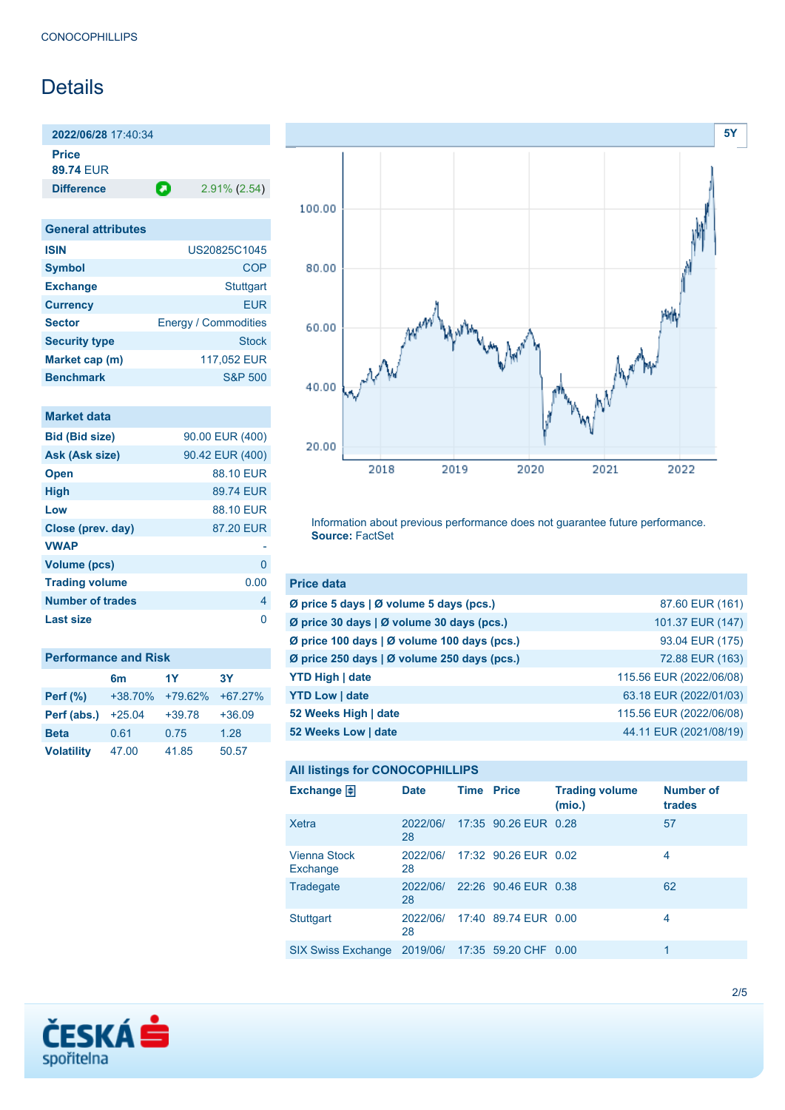# **Details**

**2022/06/28** 17:40:34

**Price**

**89.74** EUR

**Difference 2.91% (2.54)** 

| <b>General attributes</b> |                             |
|---------------------------|-----------------------------|
| <b>ISIN</b>               | US20825C1045                |
| <b>Symbol</b>             | COP                         |
| <b>Exchange</b>           | <b>Stuttgart</b>            |
| <b>Currency</b>           | EUR                         |
| <b>Sector</b>             | <b>Energy / Commodities</b> |
| <b>Security type</b>      | Stock                       |
| Market cap (m)            | 117,052 EUR                 |
| <b>Benchmark</b>          | <b>S&amp;P 500</b>          |

### **Market data**

| <b>Bid (Bid size)</b>   | 90.00 EUR (400) |
|-------------------------|-----------------|
| Ask (Ask size)          | 90.42 EUR (400) |
| <b>Open</b>             | 88.10 EUR       |
| <b>High</b>             | 89.74 FUR       |
| Low                     | 88.10 EUR       |
| Close (prev. day)       | 87.20 EUR       |
| <b>VWAP</b>             |                 |
| <b>Volume (pcs)</b>     | O               |
| <b>Trading volume</b>   | 0.00            |
| <b>Number of trades</b> | 4               |
| <b>Last size</b>        | n               |

| <b>Performance and Risk</b> |                |          |           |  |
|-----------------------------|----------------|----------|-----------|--|
|                             | 6 <sub>m</sub> | 1Y       | <b>3Y</b> |  |
| <b>Perf</b> (%)             | $+38.70%$      | +79.62%  | $+67.27%$ |  |
| Perf (abs.)                 | $+25.04$       | $+39.78$ | $+36.09$  |  |
| <b>Beta</b>                 | 0.61           | 0.75     | 1.28      |  |
| <b>Volatility</b>           | 47.00          | 41.85    | 50.57     |  |



Information about previous performance does not guarantee future performance. **Source:** FactSet

| <b>Price data</b>                                 |                         |
|---------------------------------------------------|-------------------------|
| Ø price 5 days   Ø volume 5 days (pcs.)           | 87.60 EUR (161)         |
| Ø price 30 days   Ø volume 30 days (pcs.)         | 101.37 EUR (147)        |
| Ø price 100 days   Ø volume 100 days (pcs.)       | 93.04 EUR (175)         |
| Ø price 250 days $\vert$ Ø volume 250 days (pcs.) | 72.88 EUR (163)         |
| <b>YTD High   date</b>                            | 115.56 EUR (2022/06/08) |
| <b>YTD Low   date</b>                             | 63.18 EUR (2022/01/03)  |
| 52 Weeks High   date                              | 115.56 EUR (2022/06/08) |
| 52 Weeks Low   date                               | 44.11 EUR (2021/08/19)  |

## **All listings for CONOCOPHILLIPS**

| Exchange $\bigoplus$      | <b>Date</b>    | <b>Time Price</b> |                               | <b>Trading volume</b><br>(mio.) | <b>Number of</b><br>trades |
|---------------------------|----------------|-------------------|-------------------------------|---------------------------------|----------------------------|
| Xetra                     | 2022/06/<br>28 |                   | 17:35 90.26 EUR 0.28          |                                 | 57                         |
| Vienna Stock<br>Exchange  | 2022/06/<br>28 |                   | 17:32 90.26 EUR 0.02          |                                 | 4                          |
| Tradegate                 | 2022/06/<br>28 |                   | 22:26 90.46 EUR 0.38          |                                 | 62                         |
| <b>Stuttgart</b>          | 2022/06/<br>28 |                   | 17:40 89.74 EUR 0.00          |                                 | 4                          |
| <b>SIX Swiss Exchange</b> |                |                   | 2019/06/ 17:35 59.20 CHF 0.00 |                                 | 1                          |

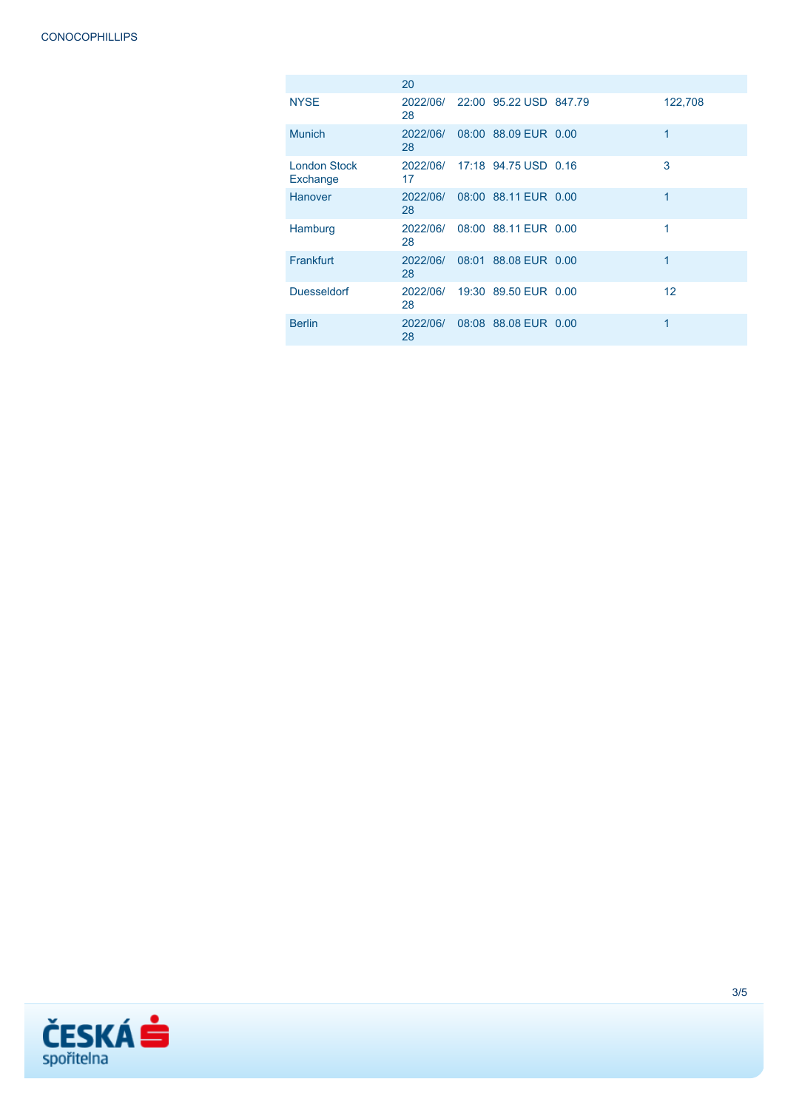|                          | 20             |                               |         |
|--------------------------|----------------|-------------------------------|---------|
| <b>NYSE</b>              | 2022/06/<br>28 | 22:00 95.22 USD 847.79        | 122,708 |
| <b>Munich</b>            | 2022/06/<br>28 | 08:00 88.09 EUR 0.00          | 1       |
| London Stock<br>Exchange | 17             | 2022/06/ 17:18 94.75 USD 0.16 | 3       |
| Hanover                  | 2022/06/<br>28 | 08:00 88.11 EUR 0.00          | 1       |
| Hamburg                  | 2022/06/<br>28 | 08:00 88.11 EUR 0.00          | 1       |
| <b>Frankfurt</b>         | 2022/06/<br>28 | 08:01 88.08 EUR 0.00          | 1       |
| <b>Duesseldorf</b>       | 2022/06/<br>28 | 19:30 89.50 EUR 0.00          | 12      |
| <b>Berlin</b>            | 2022/06/<br>28 | 08:08 88.08 EUR 0.00          | 1       |

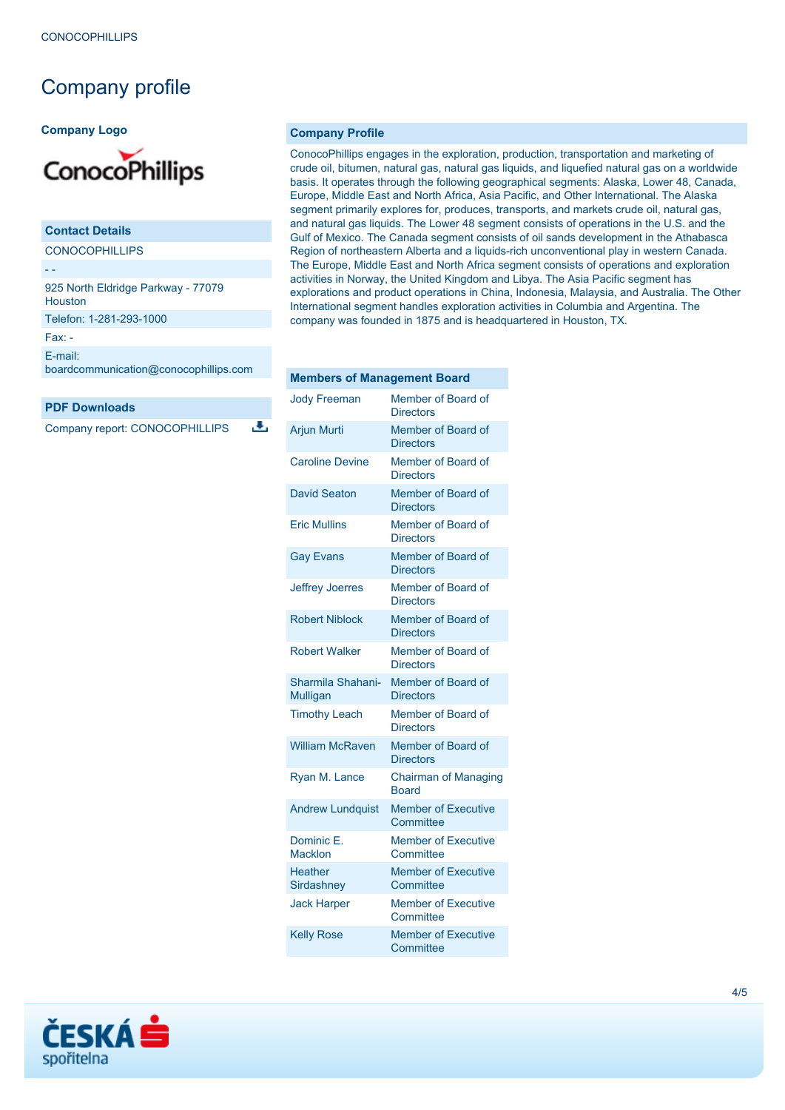# Company profile

#### **Company Logo**



## **Contact Details CONOCOPHILLIPS**

- - 925 North Eldridge Parkway - 77079 Houston

Telefon: 1-281-293-1000

Fax: -

[E-mail:](mailto:boardcommunication@conocophillips.com)

[boardcommunication@conocophillips.com](mailto:boardcommunication@conocophillips.com)

#### **PDF Downloads**

Company report: CONOCOPHILLIPS

a,

#### **Company Profile**

ConocoPhillips engages in the exploration, production, transportation and marketing of crude oil, bitumen, natural gas, natural gas liquids, and liquefied natural gas on a worldwide basis. It operates through the following geographical segments: Alaska, Lower 48, Canada, Europe, Middle East and North Africa, Asia Pacific, and Other International. The Alaska segment primarily explores for, produces, transports, and markets crude oil, natural gas, and natural gas liquids. The Lower 48 segment consists of operations in the U.S. and the Gulf of Mexico. The Canada segment consists of oil sands development in the Athabasca Region of northeastern Alberta and a liquids-rich unconventional play in western Canada. The Europe, Middle East and North Africa segment consists of operations and exploration activities in Norway, the United Kingdom and Libya. The Asia Pacific segment has explorations and product operations in China, Indonesia, Malaysia, and Australia. The Other International segment handles exploration activities in Columbia and Argentina. The company was founded in 1875 and is headquartered in Houston, TX.

#### **Members of Management Board**

| <b>Jody Freeman</b>                  | Member of Board of<br><b>Directors</b>      |
|--------------------------------------|---------------------------------------------|
| <b>Arjun Murti</b>                   | Member of Board of<br><b>Directors</b>      |
| <b>Caroline Devine</b>               | Member of Board of<br><b>Directors</b>      |
| <b>David Seaton</b>                  | Member of Board of<br><b>Directors</b>      |
| <b>Fric Mullins</b>                  | Member of Board of<br><b>Directors</b>      |
| <b>Gay Evans</b>                     | Member of Board of<br><b>Directors</b>      |
| <b>Jeffrey Joerres</b>               | Member of Board of<br><b>Directors</b>      |
| <b>Robert Niblock</b>                | Member of Board of<br><b>Directors</b>      |
| <b>Robert Walker</b>                 | Member of Board of<br><b>Directors</b>      |
| Sharmila Shahani-<br><b>Mulligan</b> | Member of Board of<br><b>Directors</b>      |
| <b>Timothy Leach</b>                 | Member of Board of<br><b>Directors</b>      |
| <b>William McRaven</b>               | Member of Board of<br><b>Directors</b>      |
| Ryan M. Lance                        | <b>Chairman of Managing</b><br><b>Board</b> |
| <b>Andrew Lundquist</b>              | <b>Member of Executive</b><br>Committee     |
| Dominic E.<br><b>Macklon</b>         | <b>Member of Executive</b><br>Committee     |
| <b>Heather</b><br>Sirdashney         | <b>Member of Executive</b><br>Committee     |
| <b>Jack Harper</b>                   | <b>Member of Executive</b><br>Committee     |
| <b>Kelly Rose</b>                    | <b>Member of Executive</b><br>Committee     |